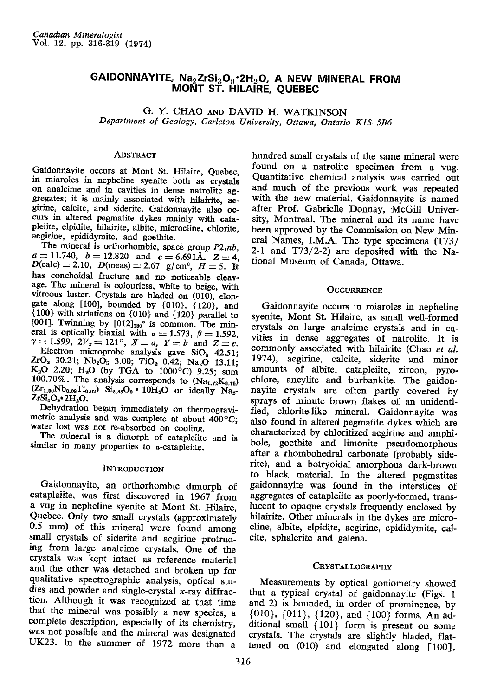# GAIDONNAYITE,  $\text{Na}_2\text{ZrSi}_3\text{O}_9\text{-}2\text{H}_2\text{O}$ , A NEW MINERAL FROM MONT ST. H|LA!RE, QUEBEC

G. Y. CHAO AND DAVID H. WATKINSON Department of Geology, Carleton University, Ottawa, Ontario K1S 5B6

#### Abstract

Gaidonnayite occurs at Mont St. Hilaire, Quebec, in miaroles in nepheline syenite both as crystals on analcime and in cavities in dense natrolite aggregates; it is mainly associated with hilairite, aegirine, calcite, and siderite. Gaidonnayite also occurs in altered pegmatite dykes mainly with catapleiite, elpidite, hilairite, albite, microcline, chlorite, aegirine, epididymite, and goethite.

The mineral is orthorhombic, space group  $P2_1nb$ ,  $a=11.740$ ,  $b=12.820$  and  $c=6.691$ Å.  $Z=4$ ,  $D(\text{calc}) = 2.10, D(\text{meas}) = 2.67 \text{ g/cm}^3, H = 5. \text{ It}$ has conchoidal fracture and no noticeable cleavage. The mineral is colourless, white to beige, with vitreous luster. Crystals are bladed on (010), elongate along  $[100]$ , bounded by  $\{010\}$ ,  $\{120\}$ , and  ${100}$  with striations on  ${010}$  and  ${120}$  parallel to [001]. Twinning by  $[012]_{180}$ <sup>o</sup> is common. The mineral is optically biaxial with  $\alpha = 1.573$ ,  $\beta = 1.592$ ,  $\gamma=1.599, 2V_z=121^{\circ}, X=a, Y=b$  and  $Z=c$ . Electron microprobe analysis gave  $SiO<sub>2</sub>$  42.51;  $ZrO_2$  30.21; Nb<sub>2</sub>O<sub>5</sub> 3.00; TiO<sub>2</sub> 0.42; Na<sub>2</sub>O 13.11;  $K_2O$  2.20;  $H_2O$  (by TGA to 1000<sup>o</sup>C) 9.25; sum  $100.70\%$ . The analysis corresponds to  $(Na_{1.72}K_{0.19})$  $(Zr_{1.00}Nb_{0.09}Ti_{0.02})$   $Si_{2.88}O_9 \cdot 10H_2O$  or ideally  $Na_{2}$ .  $ZrSi<sub>3</sub>O<sub>9</sub>•2H<sub>2</sub>O<sub>2</sub>$ 

Dehydration began immediately on thermogravimetric analysis and was complete at about  $400^{\circ}$ C; water lost was not re-absorbed on cooling,

The mineral is a dimorph of catapleiite and is similar in many properties to  $\alpha$ -catapleiite.

### **INTRODUCTION**

Gaidonnayite, an orthorhombic dimorph of catapleiite, was first discovered in 1967 from a vug in nepheline syenite at Mont St. Hilaire, Quebec. Only two small crystals (approximately 0.5 mm) of this mineral were found among small crystals of siderite and aegirine protruding from large analcime crystals. One of the crystals was kept intact as reference material and the other was detached and broken up for qualitative spectrographic analysis, optical studies and powder and single-crystal  $x$ -ray diffraction. Although it was recognized at ihat time that the mineral was possibly a new species, a complete description, especially of its chemistry, was not possible and the mineral was designated UK23. In the summer of 1972 more than a

hundred small crystals of the same mineral were found on a natrolite specimen from a vug. Quantitative chemical analysis was carried out and much of the previous work was repeated with the new material. Gaidonnayite is named after Prof. Gabrielle Donnay, McGill University, Montreal. The mineral and its name havc been approved by the Commission on New Mineral Names, I.M.A. The type specimens  $(T73/$ 2-1 and  $T73/2$ -2) are deposited with the National Museum of Canada, Ottawa.

### **OCCURRENCE**

Gaidonnayite occurs in miaroles in nepheline syenite, Mont St. Hilaire, as small well-formed crystals on large analcime crystals and in cavities in dense aggregates of natrolite. It is commonly associated with hilairite (Chao et al. 1974), aegirine, calcite, siderite and minor amounts of albite, catapleiite, zircon, pyrochlore, ancylite and burbankite. The gaidonnayite crystals are often partly covered by sprays of minute brown flakes of an unidentified, chlorite-like mineral. Gaidonnayite was also found in altered pegmatite dykes which are characterized by chloritized aegirine and amphibole, goethite and limonite pseudomorphous after a rhombohedral carbonate (probably siderite), and a botryoidal amorphous dark-brown to black material. In the altered pegmatites gaidonnayite was found in the interstices of aggregates of catapleiite as poorly-formed, translucent to opaque crystals frequently enclosed by hilairite. Other minerals in the dvkes are microcline, albite, elpidite, aegirine, epididymite, calcite, sphalerite and galena.

#### CRYSTALLOGRAPHY

Measurements by optical goniometry showed that a typical crystal of gaidonnayite (Figs. 1 and 2) is bounded, in order of prominence, by  $\{010\}$ ,  $\{011\}$ ,  $\{120\}$ , and  $\{100\}$  forms. An additional small  $\{101\}$  form is present on some crystals. The crystals are slightly bladed, flattened on (010) and elongated along [10O],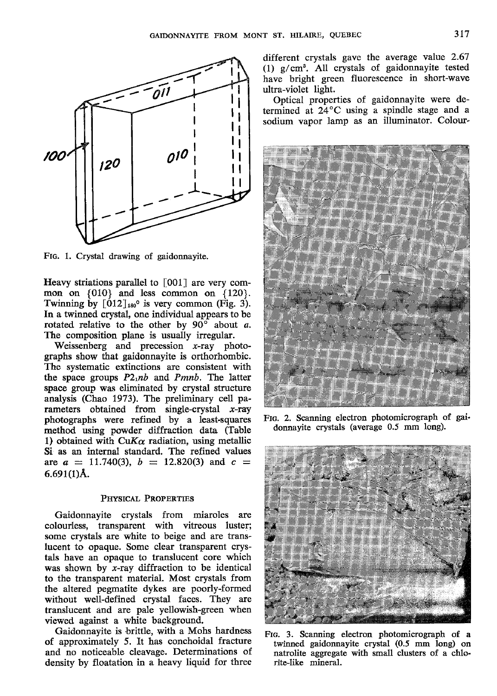

FIG. 1. Crystal drawing of gaidonnayite.

Heavy striations parallel to  $\lceil 001 \rceil$  are very common on  ${010}$  and less common on  ${120}$ . Twinning by  $[012]_{180}$ <sup>o</sup> is very common (Fig. 3). In a twinned crystal, one individual appears to be rotated relative to the other by  $90^\circ$  about a. The composition plane is usually irregular.

Weissenberg and precession x-ray photographs show that gaidonnayite is orthorhombic. The systematic extinctions are consistent with the space groups  $P2<sub>1</sub>nb$  and Pmnb. The latter space group was eliminated by crystal structure analysis (Chao 1973). The preliminary cell parameters obtained from single-crystal  $x$ -ray photographs were refined by a least-squares method using powder diffraction data (Table 1) obtained with CuK $\alpha$  radiation, using metallic Si as an internal standard. The refined values are  $a = 11.740(3)$ ,  $b = 12.820(3)$  and  $c =$  $6.691(1)$ Å.

## PHYSICAL PROPERTIES

Gaidonnayite crystals from miaroles are colourless, transparent with vitreous luster; some crystals are white to beige and are translucent to opaque. Some clear transparent crystals have an opaque to translucent core which was shown by  $x$ -ray diffraction to be identical to the transparent material. Most crystals from the altered pegmatite dykes are poorly-formed without well-defined crystal faces. They are translucent and are pale yellowish-green when viewed against a white background.

Gaidonnayite is brittle, with a Mohs hardness of approximately 5. It has conchoidal fracture and no noticeable cleavage. Determinations of density by floatation in a heavy liquid for three

different crystals gave the average value 2.67 (1) g/cm3. All crystals of gaidonnayite tested have bright green fluorescence in short-wave ultra-violet light.

Optical properties of gaidonnayite were determined at 24"C using a spindle stage and a sodium vapor lamp as an illuminator. Colour-



FIG. 2. Scanning electron photomicrograph of gaidonnayite crystals (average 0.5 mm long).



Frc. 3. Scanning electron photomicrograph of a twinned gaidonnayite crystal (0.5 mm long) on natrolite aggregate with small clusters of a chlorite-like mineral.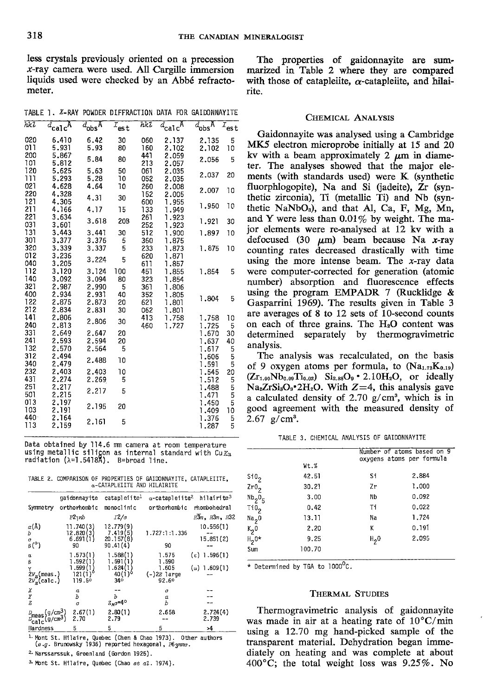less crystals previously oriented on a precession  $x$ -ray camera were used. All Cargille immersion liquids used were checked by an Abbé refractometer.

The properties of gaidonnayite are summarized in Table 2 where they are compared with those of catapleiite,  $\alpha$ -catapleiite, and hilairite.

TABLE 1. X-RAY POWDER DIFFRACTION DATA FOR GAIDONNAYITE

| hkl              | $d_{\rm cal}$ $A$ | $d_{\text{obs}}$ A | $I_{est}$ | hkl        | $d_{\mathrm{calc}}$ A | $d_{\text{obs}}$ A | $I_{est}$ |
|------------------|-------------------|--------------------|-----------|------------|-----------------------|--------------------|-----------|
| 020              | 6.410             | 6.42               | 30        | 060        | 2.137                 | 2.135              | 5         |
| 011              | 5.931             | 5.93               | 80        | 160        | 2.102                 | 2.102              | 10        |
| 200              | 5.867             | 5.84               | 80        | 441        | 2.059                 | 2.056              | 5         |
| 101              | 5.812             |                    |           | 213        | 2.057                 |                    |           |
| 120              | 5.625             | 5.63               | 50        | 061        | 2.035                 | 2.037              | 20        |
| 111              | 5.293             | 5.28               | 10        | 052        | 2.035                 |                    |           |
| 021              | 4.628             | 4.64               | 10        | 260        | 2,008                 | 2.007              | 10        |
| 220              | 4.328             | 4.31               | 30        | 152        | 2.005                 |                    |           |
| 121              | 4.305             |                    |           | 600        | 1.955                 | 1.950              | 10        |
| 211              | 4.166             | 4.17               | 15        | 133        | 1.949                 |                    |           |
| 221              | 3.634             | 3.618              | 20B       | 261        | 1.923                 | 1.921              | 30        |
| 031<br>131       | 3.601             |                    |           | 252        | 1.923                 |                    |           |
| 307              | 3.443<br>3.377    | 3.441              | 30        | 512        | 1,900                 | 1.897              | 10        |
| 320              | 3.339             | 3.376<br>3.337     | 5<br>5    | 360<br>233 | 1.875<br>1.873        | 1.875              | 10        |
| 012              | 3.236             |                    |           | 620        | 1.871                 |                    |           |
| 040              | 3.205             | 3.224              | 5         | 611        | 1,857                 |                    |           |
| 112              | 3.120             | 3.124              | 100       | 451        | 1.855                 | 1.854              | 5         |
| 140              | 3.092             | 3.094              | 80        | 323        | 1.854                 |                    |           |
| 321              | 2.987             | 2.990              | 5         | 361        | 1.806                 |                    |           |
| 400              | 2.934             | 2,931              | 40        | 352        | 1.805                 |                    |           |
| 122              | 2.875             | 2.873              | 20        | 621        | 1.801                 | 1.804              | 5         |
| 212              | 2.834             | 2,831              | 30        | 062        | 1.801                 |                    |           |
| 141              | 2.806             |                    |           | 413        | 1,758                 | 1.758              | 10        |
| 240              | 2.813             | 2.806              | 30        | 460        | 1.727                 | 1.725              | 5         |
| 331              | 2.649             | 2.647              | 20        |            |                       | 1,670              | 30        |
| 241              | 2.593             | 2.594              | 20        |            |                       | 1,637              | 40        |
| 132              | 2.570             | 2.564              | 5         |            |                       | 1.617              | 5         |
| 312              | 2.494             | 2.488              | 10        |            |                       | 1.606              | 5         |
| 340              | 2.479             |                    |           |            |                       | 1.591              | 5         |
| 232              | 2.403             | 2.403              | 10        |            |                       | 1.545              | 20        |
| 431              | 2.274             | 2.269              | 5         |            |                       | 1.512              | 5         |
| 251              | 2.217             | 2.217              | 5         |            |                       | 1.488              | 5<br>5    |
| 501              | 2.215             |                    |           |            |                       | 1.471              |           |
| 013              | 2.197             | 2.195              | 20        |            |                       | 1.450              | 5         |
| 103              | 2.191             |                    |           |            |                       | 1,409              | 10        |
| 440 <sup>°</sup> | 2.164             | 2.161              | 5         |            |                       | 1.376              | 5         |
| 113              | 2.159             |                    |           |            |                       | 1.287              | 5         |

Data obtained by 114.6 mm camera at room temperature using metallic silicon as internal standard with  $Cu K<sub>α</sub>$ radiation  $(\lambda=1.5418\lambda)$ . B=broad line.

TABLE 2. COMPARISON OF PROPERTIES OF GAIDONNAYITE, CATAPLEIITE, a-CATAPLEIITE AND HILAIRITE

|                                                                      | gaidonnayite                                         | catapleiite <sup>1</sup>                                     | $\alpha$ -catapleiite <sup>2</sup>                | hilairite <sup>3</sup>                       |
|----------------------------------------------------------------------|------------------------------------------------------|--------------------------------------------------------------|---------------------------------------------------|----------------------------------------------|
| Symmetry                                                             | orthorhombic                                         | monoclinic                                                   | orthorhombic                                      | rhombohedral                                 |
|                                                                      | P21nb                                                | I2/c                                                         |                                                   | $R\overline{3}m$ , $R3m$ , $R32$             |
| $\alpha(A)$<br>Ъ<br>a<br>$\beta$ <sup>o</sup> )                      | 11.740(3)<br>12.820(3)<br>6.691(1)<br>90             | 12.779 (9)<br>7.419 (5)<br>20.157(8)<br>90.41(4)             | 1.727:1:1.336<br>90                               | 10.556(1)<br>15.851(2)                       |
| $\alpha$<br>β<br>$2v_{\rm z}$ (meas.)<br>$2V_v$ (calc.)              | 1.573(1)<br>.592(1<br>.599(1<br>121 (1 ) "<br>119.50 | 1.588(1)<br>1.591(1)<br>1.624(1<br>40(1) <sup>o</sup><br>34° | 1.575<br>1.590<br>1.605<br>$(-)2E$ large<br>92.60 | $(\epsilon)$ 1.596(1)<br>$\omega$ ) 1.609(1) |
| χ<br>Y<br>z                                                          | а<br>Ъ<br>c                                          | Ъ<br>$Z_Ae=4^{\circ}$                                        | a<br>α<br>Ь                                       |                                              |
| $p_{\text{meas}}(g/\text{cm}^3)$<br>$p_{\text{calc}}(g/\text{cm}^3)$ | 2.67(1)<br>2.70                                      | 2.80(1)<br>2.79                                              | 2.658                                             | 2.724(4)<br>2.739                            |
| Hardness                                                             | 5                                                    | 5                                                            | 5                                                 | >4                                           |

Mont St. Hilaire, Quebec (Chen & Chao 1973). Other authors (e.g. Brunowsky 1936) reported hexagonal,  $P6.$ gmma.

2. Narssarssuk, Greenland (Gordon 1925).

3. Mont St. Hilaire, Quebec (Chao et al. 1974).

### CHEMICAL ANALYSIS

Gaidonnayite was analysed using a Cambridge MK5 electron microprobe initially at 15 and 20 ky with a beam approximately 2  $\mu$ m in diameter. The analyses showed that the major elements (with standards used) were K (synthetic fluorphlogopite), Na and Si (jadeite), Zr (synthetic zirconia), Ti (metallic Ti) and Nb (synthetic NaNbO<sub>3</sub>), and that Al, Ca, F, Mg, Mn, and Y were less than  $0.01\%$  by weight. The major elements were re-analysed at 12 kv with a defocused (30  $\mu$ m) beam because Na x-ray counting rates decreased drastically with time using the more intense beam. The  $x$ -ray data were computer-corrected for generation (atomic number) absorption and fluorescence effects using the program EMPADR 7 (Rucklidge  $\&$ Gasparrini 1969). The results given in Table 3 are averages of 8 to 12 sets of 10-second counts on each of three grains. The H<sub>2</sub>O content was determined separately by thermogravimetric analysis.

The analysis was recalculated, on the basis of 9 oxygen atoms per formula, to  $(Na_{1.72}K_{0.19})$  $(Zr_{1.00}Nb_{0.09}Ti_{0.02})$  Si<sub>2.88</sub>O<sub>9</sub> • 2.10H<sub>2</sub>O, or ideally  $Na<sub>2</sub>ZrSi<sub>3</sub>O<sub>9</sub>•2H<sub>2</sub>O$ . With  $Z=4$ , this analysis gave a calculated density of 2.70  $g/cm^3$ , which is in good agreement with the measured density of  $2.67$  g/cm<sup>3</sup>.

| TABLE 3. CHEMICAL ANALYSIS OF GAIDONNAYITE |  |  |  |  |  |
|--------------------------------------------|--|--|--|--|--|
|--------------------------------------------|--|--|--|--|--|

|                     | Wt.%   | Number of atoms based on 9<br>oxygens atoms per formula |       |  |
|---------------------|--------|---------------------------------------------------------|-------|--|
| Si0 <sub>2</sub>    | 42.51  | Si                                                      | 2,884 |  |
| 2r0 <sub>2</sub>    | 30.21  | Zr                                                      | 1.000 |  |
| $Nb_2O_5$           | 3.00   | Nb                                                      | 0.092 |  |
| Ti0 <sub>2</sub>    | 0.42   | Τi                                                      | 0.022 |  |
| Na <sub>2</sub> 0   | 13.11  | Na                                                      | 1.724 |  |
| $k_2$ <sub>0</sub>  | 2.20   | Κ                                                       | 0.191 |  |
| $H_2$ <sup>0*</sup> | 9.25   | $H_{2}0$                                                | 2.095 |  |
| Sum                 | 100.70 |                                                         |       |  |

\* Determined by TGA to 1000°C.

### **THERMAL STUDIES**

Thermogravimetric analysis of gaidonnayite was made in air at a heating rate of  $10^{\circ}$ C/min using a 12.70 mg hand-picked sample of the transparent material. Dehydration began immediately on heating and was complete at about 400 $^{\circ}$ C; the total weight loss was 9.25%. No